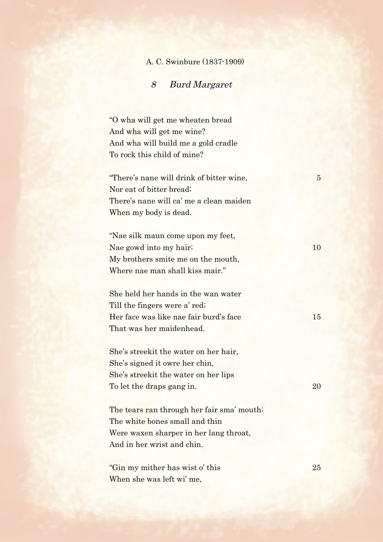## A. C. Swinbure (1837-1909)

## 8 Burd Margaret

"O wha will get me wheaten bread And wha will get me wine? And wha will build me a gold cradle To rock this child of mine?

"There's nane will drink of bitter wine, 5 Nor eat of bitter bread; There's nane will ca' me a clean maiden When my body is dead.

"Nae silk maun come upon my feet, Nae gowd into my hair; 10 My brothers smite me on the mouth, Where nae man shall kiss mair."

She held her hands in the wan water Till the fingers were a' red; Her face was like nae fair burd's face 15 That was her maidenhead.

She's streekit the water on her hair, She's signed it owre her chin, She's streekit the water on her lips To let the draps gang in. 20

The tears ran through her fair sma' mouth; The white bones small and thin Were waxen sharper in her lang throat, And in her wrist and chin.

"Gin my mither has wist o' this 25 When she was left wi' me,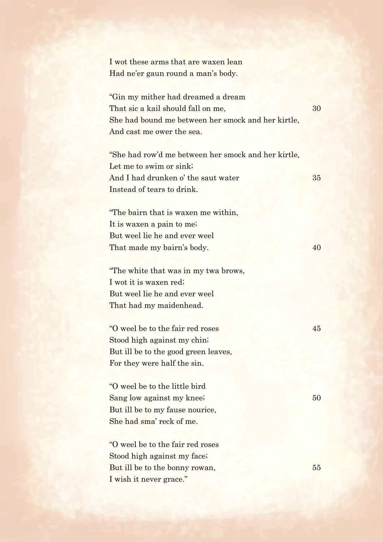I wot these arms that are waxen lean Had ne'er gaun round a man's body.

"Gin my mither had dreamed a dream That sic a kail should fall on me,  $30$ She had bound me between her smock and her kirtle, And cast me ower the sea.

"She had row'd me between her smock and her kirtle, Let me to swim or sink; And I had drunken o' the saut water 35 Instead of tears to drink.

"The bairn that is waxen me within, It is waxen a pain to me; But weel lie he and ever weel That made my bairn's body. 40

"The white that was in my twa brows, I wot it is waxen red; But weel lie he and ever weel That had my maidenhead.

"O weel be to the fair red roses 45 Stood high against my chin; But ill be to the good green leaves, For they were half the sin.

"O weel be to the little bird Sang low against my knee; 50 But ill be to my fause nourice, She had sma' reck of me.

"O weel be to the fair red roses Stood high against my face; But ill be to the bonny rowan, 55 I wish it never grace."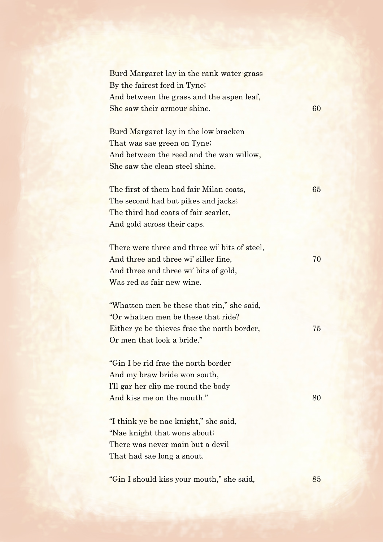| Burd Margaret lay in the rank water-grass     |    |
|-----------------------------------------------|----|
| By the fairest ford in Tyne;                  |    |
| And between the grass and the aspen leaf,     |    |
| She saw their armour shine.                   | 60 |
| Burd Margaret lay in the low bracken          |    |
|                                               |    |
| That was sae green on Tyne;                   |    |
| And between the reed and the wan willow,      |    |
| She saw the clean steel shine.                |    |
| The first of them had fair Milan coats,       | 65 |
| The second had but pikes and jacks;           |    |
| The third had coats of fair scarlet,          |    |
|                                               |    |
| And gold across their caps.                   |    |
| There were three and three wi' bits of steel, |    |
| And three and three wi' siller fine,          | 70 |
| And three and three wi' bits of gold,         |    |
| Was red as fair new wine.                     |    |
|                                               |    |
| "Whatten men be these that rin," she said,    |    |
| "Or whatten men be these that ride?           |    |
| Either ye be thieves frae the north border,   | 75 |
| Or men that look a bride."                    |    |
|                                               |    |
| "Gin I be rid frae the north border"          |    |
| And my braw bride won south,                  |    |
| I'll gar her clip me round the body           |    |
| And kiss me on the mouth."                    | 80 |
|                                               |    |
| "I think ye be nae knight," she said,         |    |
| "Nae knight that wons about;                  |    |
| There was never main but a devil              |    |
| That had sae long a snout.                    |    |
|                                               |    |
| "Gin I should kiss your mouth," she said,     | 85 |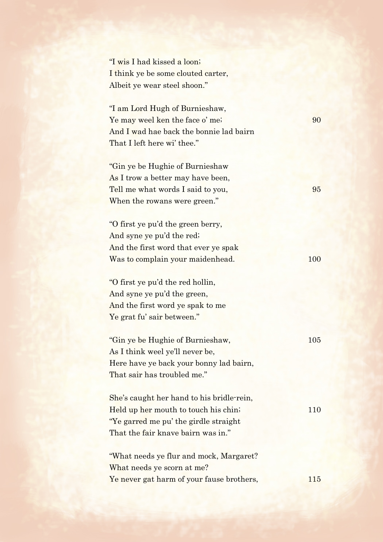| "I wis I had kissed a loon;        |
|------------------------------------|
| I think ye be some clouted carter, |
| Albeit ye wear steel shoon."       |

"I am Lord Hugh of Burnieshaw, Ye may weel ken the face o' me; 90 And I wad hae back the bonnie lad bairn That I left here wi' thee."

"Gin ye be Hughie of Burnieshaw As I trow a better may have been, Tell me what words I said to you, 95 When the rowans were green."

"O first ye pu'd the green berry, And syne ye pu'd the red; And the first word that ever ye spak Was to complain your maidenhead. 100

"O first ye pu'd the red hollin, And syne ye pu'd the green, And the first word ye spak to me Ye grat fu' sair between."

| "Gin ye be Hughie of Burnieshaw,        | 105 |
|-----------------------------------------|-----|
| As I think weel ye'll never be,         |     |
| Here have ye back your bonny lad bairn, |     |
| That sair has troubled me."             |     |

She's caught her hand to his bridle-rein, Held up her mouth to touch his chin; 110 "Ye garred me pu' the girdle straight That the fair knave bairn was in."

"What needs ye flur and mock, Margaret? What needs ye scorn at me? Ye never gat harm of your fause brothers, 115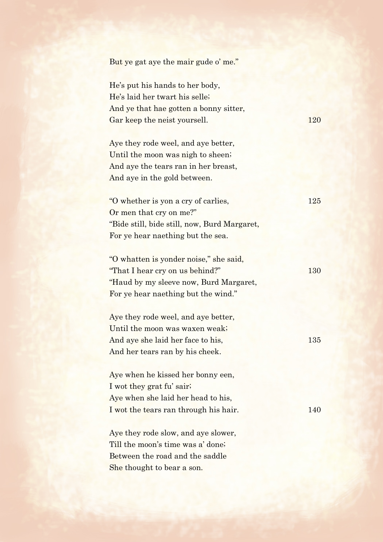| But ye gat aye the mair gude o' me."         |     |
|----------------------------------------------|-----|
| He's put his hands to her body,              |     |
| He's laid her twart his selle;               |     |
| And ye that hae gotten a bonny sitter,       |     |
| Gar keep the neist yoursell.                 | 120 |
| Aye they rode weel, and aye better,          |     |
| Until the moon was nigh to sheen;            |     |
| And aye the tears ran in her breast,         |     |
| And aye in the gold between.                 |     |
| "O whether is yon a cry of carlies,          | 125 |
| Or men that cry on me?"                      |     |
| "Bide still, bide still, now, Burd Margaret, |     |
| For ye hear naething but the sea.            |     |
| "O whatten is yonder noise," she said,       |     |
| "That I hear cry on us behind?"              | 130 |
| "Haud by my sleeve now, Burd Margaret,       |     |
| For ye hear naething but the wind."          |     |
| Aye they rode weel, and aye better,          |     |
| Until the moon was waxen weak;               |     |
| And aye she laid her face to his,            | 135 |
| And her tears ran by his cheek.              |     |
| Aye when he kissed her bonny een,            |     |
| I wot they grat fu' sair,                    |     |
| Aye when she laid her head to his,           |     |
| I wot the tears ran through his hair.        | 140 |
| Aye they rode slow, and aye slower,          |     |
| Till the moon's time was a' done;            |     |
| Between the road and the saddle              |     |
| She thought to bear a son.                   |     |
|                                              |     |